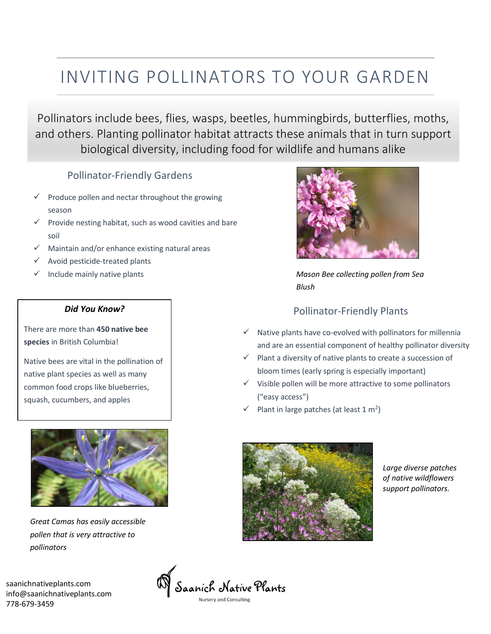# INVITING POLLINATORS TO YOUR GARDEN

Pollinators include bees, flies, wasps, beetles, hummingbirds, butterflies, moths, and others. Planting pollinator habitat attracts these animals that in turn support biological diversity, including food for wildlife and humans alike

#### Pollinator-Friendly Gardens

- $\checkmark$  Produce pollen and nectar throughout the growing season
- $\checkmark$  Provide nesting habitat, such as wood cavities and bare soil
- $\checkmark$  Maintain and/or enhance existing natural areas
- $\checkmark$  Avoid pesticide-treated plants
- $\checkmark$  Include mainly native plants

#### *Did You Know?*

There are more than **450 native bee species** in British Columbia!

Native bees are vital in the pollination of native plant species as well as many common food crops like blueberries, squash, cucumbers, and apples



*Great Camas has easily accessible pollen that is very attractive to pollinators*

saanichnativeplants.com info@saanichnativeplants.com 778-679-3459



*Mason Bee collecting pollen from Sea Blush*

### Pollinator-Friendly Plants

- $\checkmark$  Native plants have co-evolved with pollinators for millennia and are an essential component of healthy pollinator diversity
- $\checkmark$  Plant a diversity of native plants to create a succession of bloom times (early spring is especially important)
- ✓ Visible pollen will be more attractive to some pollinators ("easy access")
- $\checkmark$  Plant in large patches (at least 1 m<sup>2</sup>)



*Large diverse patches of native wildflowers support pollinators.*

.<br>Saanich Native Plants